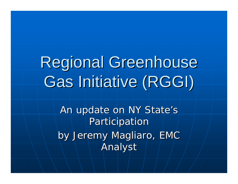# Regional Greenhouse Gas Initiative (RGGI)

An update on NY State's Participation by Jeremy Magliaro, EMC Analyst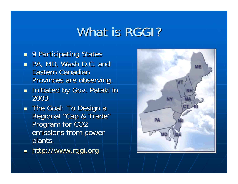## What is RGGI?

- **9 Participating States**  $\blacksquare$  PA, MD, Wash D.C. and Eastern Canadian Provinces are observing.
- **Initiated by Gov. Pataki in** 2003
- $\blacksquare$  The Goal: To Design a Regional "Cap & Trade" Program for CO<sub>2</sub> emissions from power plants.
- nttp:/[/www.rggi.org](http://www.rggi.org/) =

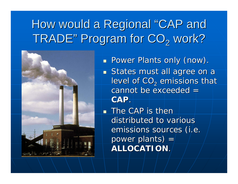#### How would a Regional "CAP and TRADE " Program for  $\mathrm{CO}_2$  work?



**Power Plants only (now).** 

 $\blacksquare$  States must all agree on a level of CO $_2$  emissions that  $c$ annot be exceeded  $=$ **CAP**.

 $\blacksquare$  The CAP is then  $\blacksquare$ distributed to various emissions sources (i.e. power plants)  $=$ **ALLOCATION ALLOCATION**.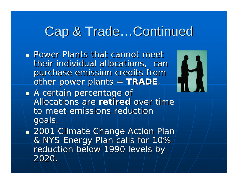## Cap & Trade...Continued

H

- **Power Plants that cannot meet** their individual allocations, can purchase emission credits from other power plants = TRADE.
- $\mathbb{R}^2$  $\blacksquare$  A certain percentage of Allocations are **retired** over time to meet emissions reduction goals.

 $\mathbb{R}^2$  $\textcolor{red}{\blacksquare}$  2001 Climate Change Action Plan & NYS Energy Plan calls for 10% & NYS Energy Plan calls for 10% reduction below 1990 levels by 2020.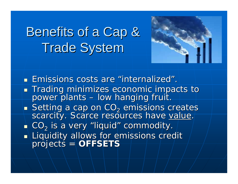## **Benefits of a Cap & Trade System**



**Emissions costs are "internalized" Emissions costs are "internalized**" .

- $\mathbb{R}^2$ ■ Trading minimizes economic impacts to<br>— power plants – low hanging fruit.  $\sim$ – low hanging fruit.
- $\mathbb{R}^2$  $\blacksquare$  Setting a cap on CO $_2$ scarcity. Scarce resources have value.

 $\blacksquare$  CO $_2$  is a very "liquid" commodity.

 $\mathbb{R}^2$ Liquidity allows for emissions credit **projects = projects = profects = pro**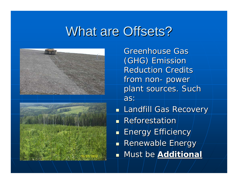## What are Offsets?





**Greenhouse Gas** (GHG) Emission (GHG) Emission **Reduction Credits** from non - power plant sources. Such as:

**Landfill Gas Recovery Reforestation**  $\blacksquare$  Energy Efficiency **Renewable Energy** Must be Must be **Additional Additional**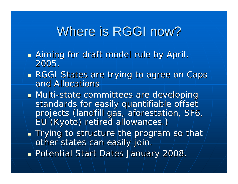## Where is RGGI now?

- $\mathbb{R}^2$ **Aiming for draft model rule by April,** 2005.
- $\mathbb{R}^2$ **RGGI States are trying to agree on Caps** and Allocations
- **BETH Multi-state committees are developing** standards for easily quantifiable offset projects (landfill gas, aforestation, SF6, EU (Kyoto) retired allowances.) EU (Kyoto) retired allowances.)
- $\mathbb{R}^2$  $\blacksquare$  Trying to structure the program so that  $\bar{\rho}$ other states can easily join.
- $\mathbb{R}^2$ **Potential Start Dates January 2008.**